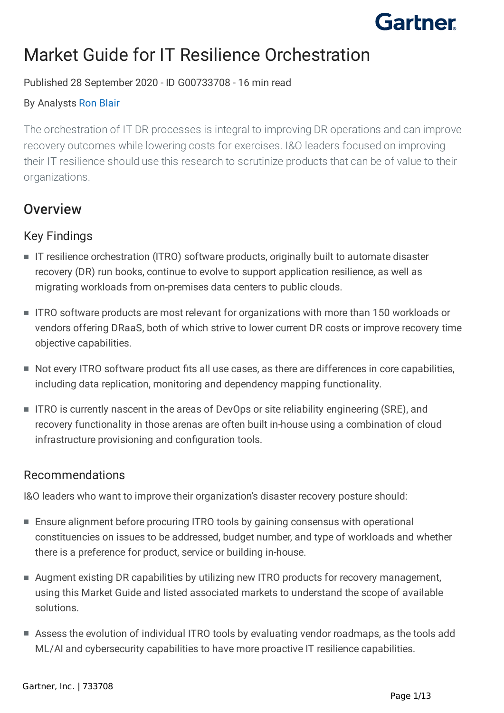

# Market Guide for IT Resilience Orchestration

#### Published 28 September 2020 - ID G00733708 - 16 min read

#### By Analysts [Ron Blair](https://www.gartner.com/analyst/57323)

The orchestration of IT DR processes is integral to improving DR operations and can improve recovery outcomes while lowering costs for exercises. I&O leaders focused on improving their IT resilience should use this research to scrutinize products that can be of value to their organizations.

## **Overview**

## Key Findings

- IT resilience orchestration (ITRO) software products, originally built to automate disaster recovery (DR) run books, continue to evolve to support application resilience, as well as migrating workloads from on-premises data centers to public clouds.
- ITRO software products are most relevant for organizations with more than 150 workloads or vendors offering DRaaS, both of which strive to lower current DR costs or improve recovery time objective capabilities.
- Not every ITRO software product fits all use cases, as there are differences in core capabilities, including data replication, monitoring and dependency mapping functionality.
- ITRO is currently nascent in the areas of DevOps or site reliability engineering (SRE), and recovery functionality in those arenas are often built in-house using a combination of cloud infrastructure provisioning and configuration tools.

#### Recommendations

I&O leaders who want to improve their organization's disaster recovery posture should:

- Ensure alignment before procuring ITRO tools by gaining consensus with operational constituencies on issues to be addressed, budget number, and type of workloads and whether there is a preference for product, service or building in-house.
- Augment existing DR capabilities by utilizing new ITRO products for recovery management, using this Market Guide and listed associated markets to understand the scope of available solutions.
- Assess the evolution of individual ITRO tools by evaluating vendor roadmaps, as the tools add ML/AI and cybersecurity capabilities to have more proactive IT resilience capabilities.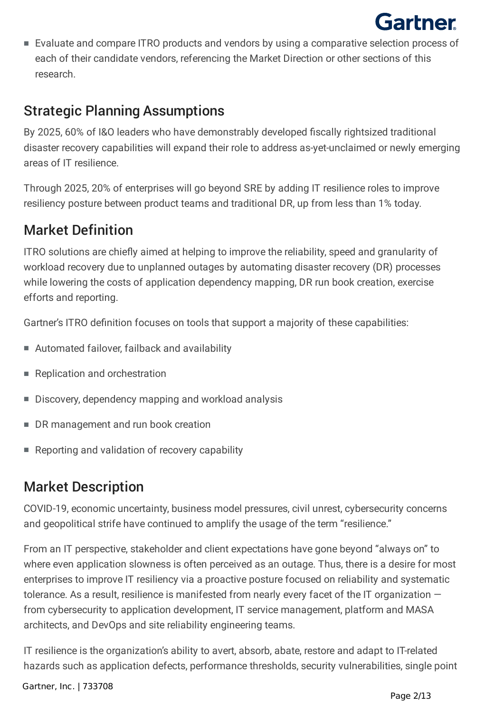■ Evaluate and compare ITRO products and vendors by using a comparative selection process of each of their candidate vendors, referencing the Market Direction or other sections of this research.

# Strategic Planning Assumptions

By 2025, 60% of I&O leaders who have demonstrably developed fiscally rightsized traditional disaster recovery capabilities will expand their role to address as-yet-unclaimed or newly emerging areas of IT resilience.

Through 2025, 20% of enterprises will go beyond SRE by adding IT resilience roles to improve resiliency posture between product teams and traditional DR, up from less than 1% today.

## Market Definition

ITRO solutions are chiefly aimed at helping to improve the reliability, speed and granularity of workload recovery due to unplanned outages by automating disaster recovery (DR) processes while lowering the costs of application dependency mapping, DR run book creation, exercise efforts and reporting.

Gartner's ITRO definition focuses on tools that support a majority of these capabilities:

- Automated failover, failback and availability
- Replication and orchestration
- Discovery, dependency mapping and workload analysis
- DR management and run book creation
- Reporting and validation of recovery capability

# Market Description

COVID-19, economic uncertainty, business model pressures, civil unrest, cybersecurity concerns and geopolitical strife have continued to amplify the usage of the term "resilience."

From an IT perspective, stakeholder and client expectations have gone beyond "always on" to where even application slowness is often perceived as an outage. Thus, there is a desire for most enterprises to improve IT resiliency via a proactive posture focused on reliability and systematic tolerance. As a result, resilience is manifested from nearly every facet of the IT organization  $$ from cybersecurity to application development, IT service management, platform and MASA architects, and DevOps and site reliability engineering teams.

IT resilience is the organization's ability to avert, absorb, abate, restore and adapt to IT-related hazards such as application defects, performance thresholds, security vulnerabilities, single point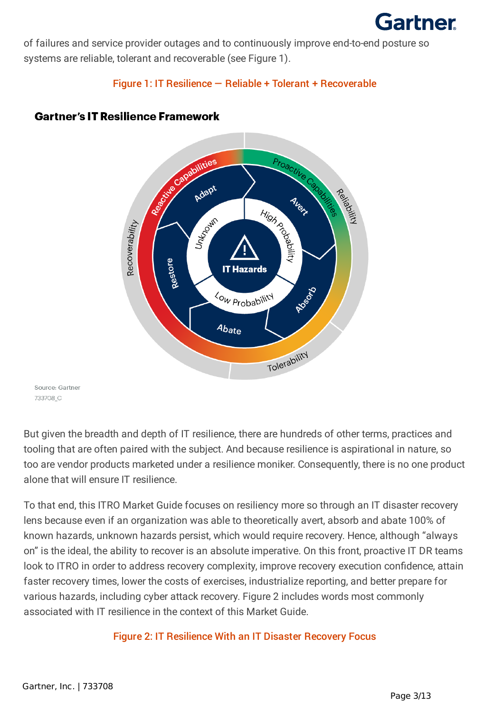

of failures and service provider outages and to continuously improve end-to-end posture so systems are reliable, tolerant and recoverable (see Figure 1).

Figure 1: IT Resilience — Reliable + Tolerant + Recoverable



#### **Gartner's IT Resilience Framework**

Source: Gartner 733708 C

But given the breadth and depth of IT resilience, there are hundreds of other terms, practices and tooling that are often paired with the subject. And because resilience is aspirational in nature, so too are vendor products marketed under a resilience moniker. Consequently, there is no one product alone that will ensure IT resilience.

To that end, this ITRO Market Guide focuses on resiliency more so through an IT disaster recovery lens because even if an organization was able to theoretically avert, absorb and abate 100% of known hazards, unknown hazards persist, which would require recovery. Hence, although "always on" is the ideal, the ability to recover is an absolute imperative. On this front, proactive IT DR teams look to ITRO in order to address recovery complexity, improve recovery execution confidence, attain faster recovery times, lower the costs of exercises, industrialize reporting, and better prepare for various hazards, including cyber attack recovery. Figure 2 includes words most commonly associated with IT resilience in the context of this Market Guide.

Figure 2: IT Resilience With an IT Disaster Recovery Focus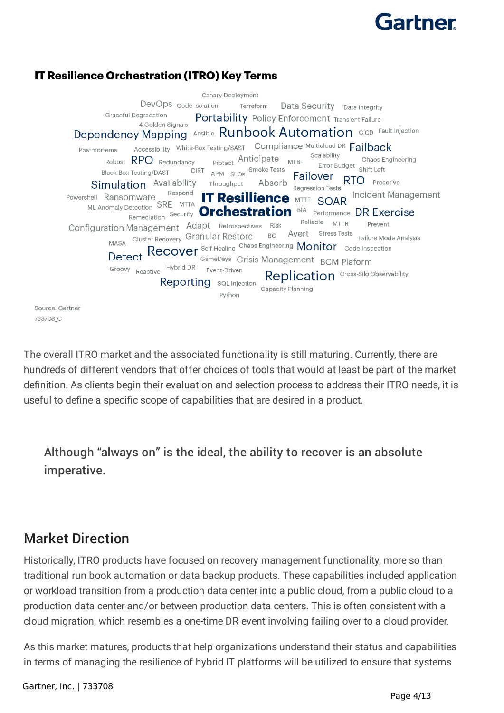### **IT Resilience Orchestration (ITRO) Key Terms**

Canary Deployment DevOps <sub>Code Isolation</sub> Terreform Data Security Data Integrity **Graceful Degradation** Portability Policy Enforcement Transient Failure 4 Golden Signals Dependency Mapping Ansible Runbook Automation CICD Fault Injection Accessibility White-Box Testing/SAST Compliance Multicloud DR Failback Postmortems Scalability Protect Anticipate MTBF Chaos Engineering Robust **RPO** Redundancy Error Budget<br>Shift Left Black-Box Testing/DAST DIRT APM SLOs Smoke Tests Failover RTO Proactive Simulation Availability Throughput Absorb **Regression Tests** Respond Incident Management Powershell Ransomware **IT Resillience MTTF SOAR** ML Anomaly Detection SRE MTTA Remediation Security **Orchestration** BIA Performance DR Exercise Configuration Management Adapt Retrospectives Risk Reliable MTTR Prevent Avert Stress Tests<br>Failure Mode Analysis MASA Cluster Recovery Granular Restore **BC** MASA Cluster Recovery Grafitular Restore<br>Detect Recover Self Healing Chaos Engineering Monitor code Inspection<br>Detect Recover GameDays Crisis Management DOM Ploform GameDays Crisis Management BCM Plaform Groovy Reactive Hybrid DR Event-Driven Replication Cross-Silo Observability **Reporting** sql Injection Capacity Planning Python

Source: Gartner 733708 C

The overall ITRO market and the associated functionality is still maturing. Currently, there are hundreds of different vendors that offer choices of tools that would at least be part of the market definition. As clients begin their evaluation and selection process to address their ITRO needs, it is useful to define a specific scope of capabilities that are desired in a product.

Although "always on" is the ideal, the ability to recover is an absolute imperative.

## Market Direction

Historically, ITRO products have focused on recovery management functionality, more so than traditional run book automation or data backup products. These capabilities included application or workload transition from a production data center into a public cloud, from a public cloud to a production data center and/or between production data centers. This is often consistent with a cloud migration, which resembles a one-time DR event involving failing over to a cloud provider.

As this market matures, products that help organizations understand their status and capabilities in terms of managing the resilience of hybrid IT platforms will be utilized to ensure that systems

Gartner, Inc. | 733708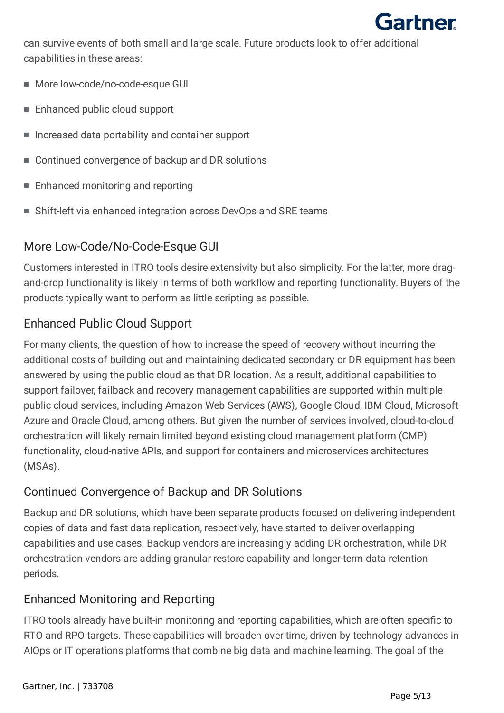

can survive events of both small and large scale. Future products look to offer additional capabilities in these areas:

- More low-code/no-code-esque GUI
- Enhanced public cloud support
- Increased data portability and container support
- Continued convergence of backup and DR solutions
- Enhanced monitoring and reporting
- Shift-left via enhanced integration across DevOps and SRE teams

## More Low-Code/No-Code-Esque GUI

Customers interested in ITRO tools desire extensivity but also simplicity. For the latter, more dragand-drop functionality is likely in terms of both workflow and reporting functionality. Buyers of the products typically want to perform as little scripting as possible.

## Enhanced Public Cloud Support

For many clients, the question of how to increase the speed of recovery without incurring the additional costs of building out and maintaining dedicated secondary or DR equipment has been answered by using the public cloud as that DR location. As a result, additional capabilities to support failover, failback and recovery management capabilities are supported within multiple public cloud services, including Amazon Web Services (AWS), Google Cloud, IBM Cloud, Microsoft Azure and Oracle Cloud, among others. But given the number of services involved, cloud-to-cloud orchestration will likely remain limited beyond existing cloud management platform (CMP) functionality, cloud-native APIs, and support for containers and microservices architectures (MSAs).

## Continued Convergence of Backup and DR Solutions

Backup and DR solutions, which have been separate products focused on delivering independent copies of data and fast data replication, respectively, have started to deliver overlapping capabilities and use cases. Backup vendors are increasingly adding DR orchestration, while DR orchestration vendors are adding granular restore capability and longer-term data retention periods.

## Enhanced Monitoring and Reporting

ITRO tools already have built-in monitoring and reporting capabilities, which are often specific to RTO and RPO targets. These capabilities will broaden over time, driven by technology advances in AIOps or IT operations platforms that combine big data and machine learning. The goal of the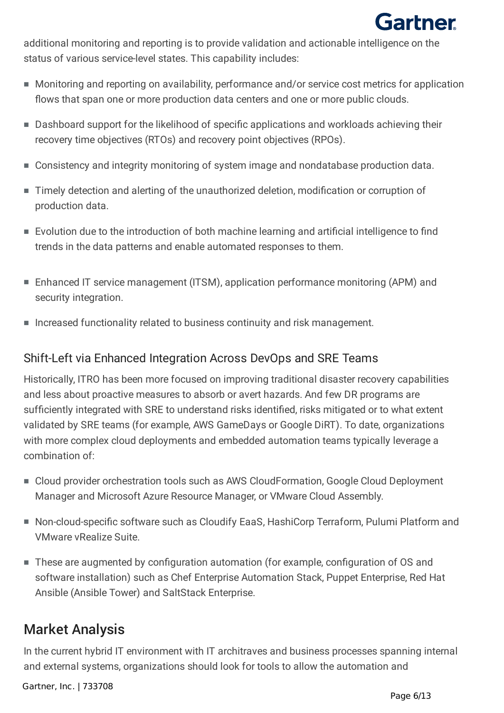

additional monitoring and reporting is to provide validation and actionable intelligence on the status of various service-level states. This capability includes:

- Monitoring and reporting on availability, performance and/or service cost metrics for application flows that span one or more production data centers and one or more public clouds.
- Dashboard support for the likelihood of specific applications and workloads achieving their recovery time objectives (RTOs) and recovery point objectives (RPOs).
- Consistency and integrity monitoring of system image and nondatabase production data.
- Timely detection and alerting of the unauthorized deletion, modification or corruption of production data.
- Evolution due to the introduction of both machine learning and artificial intelligence to find trends in the data patterns and enable automated responses to them.
- Enhanced IT service management (ITSM), application performance monitoring (APM) and security integration.
- Increased functionality related to business continuity and risk management.

### Shift-Left via Enhanced Integration Across DevOps and SRE Teams

Historically, ITRO has been more focused on improving traditional disaster recovery capabilities and less about proactive measures to absorb or avert hazards. And few DR programs are sufficiently integrated with SRE to understand risks identified, risks mitigated or to what extent validated by SRE teams (for example, AWS GameDays or Google DiRT). To date, organizations with more complex cloud deployments and embedded automation teams typically leverage a combination of:

- Cloud provider orchestration tools such as AWS CloudFormation, Google Cloud Deployment Manager and Microsoft Azure Resource Manager, or VMware Cloud Assembly.
- Non-cloud-specific software such as Cloudify EaaS, HashiCorp Terraform, Pulumi Platform and VMware vRealize Suite.
- These are augmented by configuration automation (for example, configuration of OS and software installation) such as Chef Enterprise Automation Stack, Puppet Enterprise, Red Hat Ansible (Ansible Tower) and SaltStack Enterprise.

## Market Analysis

In the current hybrid IT environment with IT architraves and business processes spanning internal and external systems, organizations should look for tools to allow the automation and

Gartner, Inc. | 733708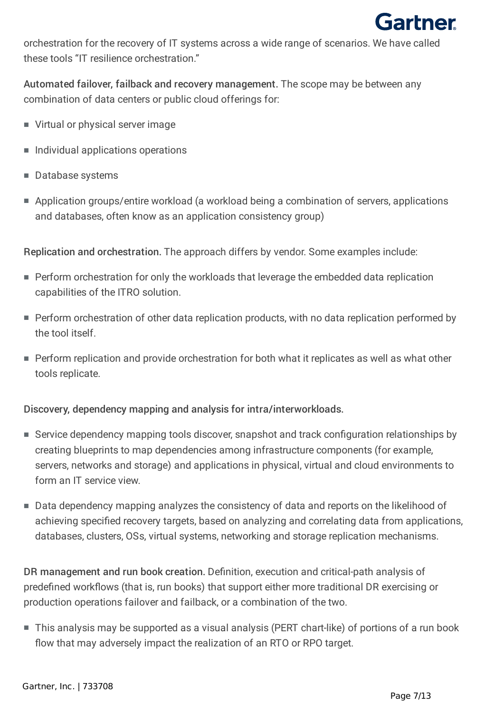

orchestration for the recovery of IT systems across a wide range of scenarios. We have called these tools "IT resilience orchestration."

Automated failover, failback and recovery management. The scope may be between any combination of data centers or public cloud offerings for:

- Virtual or physical server image
- Individual applications operations
- Database systems
- Application groups/entire workload (a workload being a combination of servers, applications and databases, often know as an application consistency group)

Replication and orchestration. The approach differs by vendor. Some examples include:

- Perform orchestration for only the workloads that leverage the embedded data replication capabilities of the ITRO solution.
- Perform orchestration of other data replication products, with no data replication performed by the tool itself.
- Perform replication and provide orchestration for both what it replicates as well as what other tools replicate.

Discovery, dependency mapping and analysis for intra/interworkloads.

- Service dependency mapping tools discover, snapshot and track configuration relationships by creating blueprints to map dependencies among infrastructure components (for example, servers, networks and storage) and applications in physical, virtual and cloud environments to form an IT service view.
- Data dependency mapping analyzes the consistency of data and reports on the likelihood of achieving specified recovery targets, based on analyzing and correlating data from applications, databases, clusters, OSs, virtual systems, networking and storage replication mechanisms.

DR management and run book creation. Definition, execution and critical-path analysis of predefined workflows (that is, run books) that support either more traditional DR exercising or production operations failover and failback, or a combination of the two.

■ This analysis may be supported as a visual analysis (PERT chart-like) of portions of a run book flow that may adversely impact the realization of an RTO or RPO target.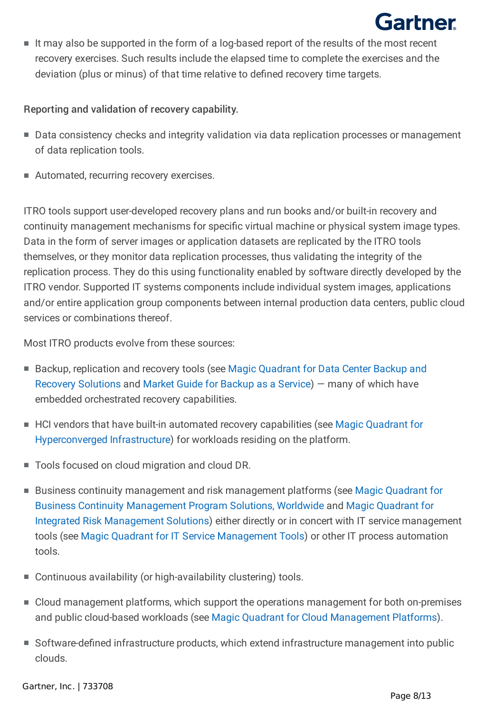$\quad \blacksquare$  It may also be supported in the form of a log-based report of the results of the most recent recovery exercises. Such results include the elapsed time to complete the exercises and the deviation (plus or minus) of that time relative to defined recovery time targets.

#### Reporting and validation of recovery capability.

- Data consistency checks and integrity validation via data replication processes or management of data replication tools.
- Automated, recurring recovery exercises.

ITRO tools support user-developed recovery plans and run books and/or built-in recovery and continuity management mechanisms for specific virtual machine or physical system image types. Data in the form of server images or application datasets are replicated by the ITRO tools themselves, or they monitor data replication processes, thus validating the integrity of the replication process. They do this using functionality enabled by software directly developed by the ITRO vendor. Supported IT systems components include individual system images, applications and/or entire application group components between internal production data centers, public cloud services or combinations thereof.

Most ITRO products evolve from these sources:

- Backup, replication and recovery tools (see Magic Quadrant for Data Center Backup and Recovery Solutions and Market Guide for Backup as a Service) — many of which have embedded orchestrated recovery capabilities.
- HCI vendors that have built-in automated recovery capabilities (see Magic Quadrant for Hyperconverged Infrastructure) for workloads residing on the platform.
- Tools focused on cloud migration and cloud DR.
- Business continuity management and risk management platforms (see Magic Quadrant for Business Continuity Management Program Solutions, Worldwide and Magic Quadrant for Integrated Risk Management Solutions) either directly or in concert with IT service management tools (see Magic Quadrant for IT Service Management Tools) or other IT process automation tools.
- Continuous availability (or high-availability clustering) tools.
- Cloud management platforms, which support the operations management for both on-premises and public cloud-based workloads (see Magic Quadrant for Cloud Management Platforms).
- Software-defined infrastructure products, which extend infrastructure management into public clouds.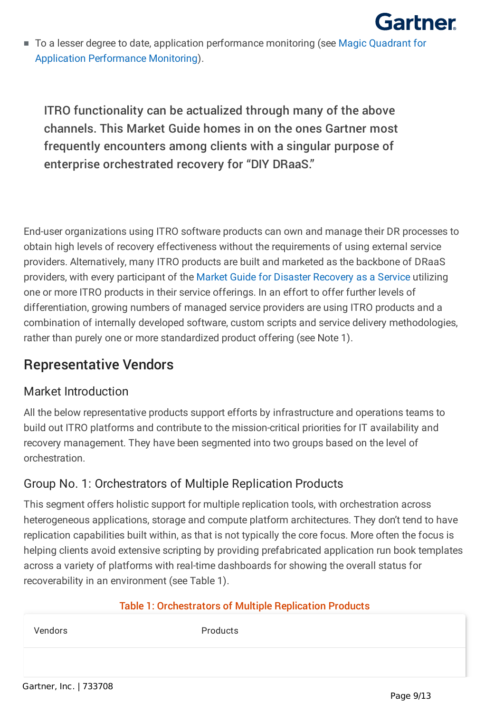

■ To a lesser degree to date, application performance monitoring (see Magic Quadrant for Application Performance Monitoring).

ITRO functionality can be actualized through many of the above channels. This Market Guide homes in on the ones Gartner most frequently encounters among clients with a singular purpose of enterprise orchestrated recovery for "DIY DRaaS."

End-user organizations using ITRO software products can own and manage their DR processes to obtain high levels of recovery effectiveness without the requirements of using external service providers. Alternatively, many ITRO products are built and marketed as the backbone of DRaaS providers, with every participant of the Market Guide for Disaster Recovery as a Service utilizing one or more ITRO products in their service offerings. In an effort to offer further levels of differentiation, growing numbers of managed service providers are using ITRO products and a combination of internally developed software, custom scripts and service delivery methodologies, rather than purely one or more standardized product offering (see Note 1).

## Representative Vendors

## Market Introduction

All the below representative products support efforts by infrastructure and operations teams to build out ITRO platforms and contribute to the mission-critical priorities for IT availability and recovery management. They have been segmented into two groups based on the level of orchestration.

## Group No. 1: Orchestrators of Multiple Replication Products

This segment offers holistic support for multiple replication tools, with orchestration across heterogeneous applications, storage and compute platform architectures. They don't tend to have replication capabilities built within, as that is not typically the core focus. More often the focus is helping clients avoid extensive scripting by providing prefabricated application run book templates across a variety of platforms with real-time dashboards for showing the overall status for recoverability in an environment (see Table 1).

#### Table 1: Orchestrators of Multiple Replication Products

Vendors Products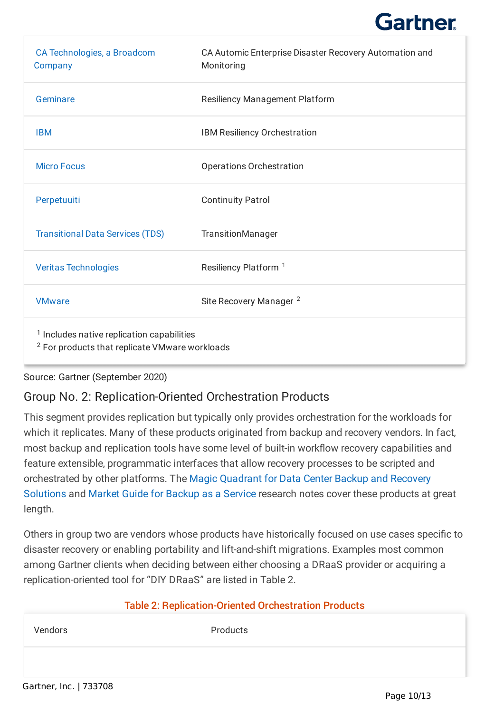| CA Technologies, a Broadcom<br>Company                                                                             | CA Automic Enterprise Disaster Recovery Automation and<br>Monitoring |
|--------------------------------------------------------------------------------------------------------------------|----------------------------------------------------------------------|
| Geminare                                                                                                           | <b>Resiliency Management Platform</b>                                |
| <b>IBM</b>                                                                                                         | IBM Resiliency Orchestration                                         |
| <b>Micro Focus</b>                                                                                                 | <b>Operations Orchestration</b>                                      |
| Perpetuuiti                                                                                                        | <b>Continuity Patrol</b>                                             |
| <b>Transitional Data Services (TDS)</b>                                                                            | TransitionManager                                                    |
| <b>Veritas Technologies</b>                                                                                        | Resiliency Platform <sup>1</sup>                                     |
| <b>VMware</b>                                                                                                      | Site Recovery Manager <sup>2</sup>                                   |
| <sup>1</sup> Includes native replication capabilities<br><sup>2</sup> For products that replicate VMware workloads |                                                                      |

Source: Gartner (September 2020)

## Group No. 2: Replication-Oriented Orchestration Products

This segment provides replication but typically only provides orchestration for the workloads for which it replicates. Many of these products originated from backup and recovery vendors. In fact, most backup and replication tools have some level of built-in workflow recovery capabilities and feature extensible, programmatic interfaces that allow recovery processes to be scripted and orchestrated by other platforms. The Magic Quadrant for Data Center Backup and Recovery Solutions and Market Guide for Backup as a Service research notes cover these products at great length.

Others in group two are vendors whose products have historically focused on use cases specific to disaster recovery or enabling portability and lift-and-shift migrations. Examples most common among Gartner clients when deciding between either choosing a DRaaS provider or acquiring a replication-oriented tool for "DIY DRaaS" are listed in Table 2.

#### Table 2: Replication-Oriented Orchestration Products

Vendors Products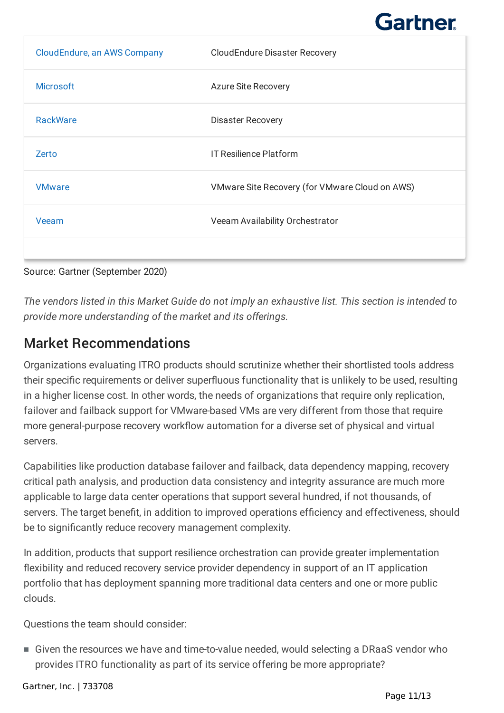| CloudEndure, an AWS Company | <b>CloudEndure Disaster Recovery</b>           |
|-----------------------------|------------------------------------------------|
| <b>Microsoft</b>            | <b>Azure Site Recovery</b>                     |
| <b>RackWare</b>             | <b>Disaster Recovery</b>                       |
| Zerto                       | <b>IT Resilience Platform</b>                  |
| <b>VMware</b>               | VMware Site Recovery (for VMware Cloud on AWS) |
| Veeam                       | Veeam Availability Orchestrator                |
|                             |                                                |

Source: Gartner (September 2020)

*The vendors listed in this Market Guide do not imply an exhaustive list. This section is intended to provide more understanding of the market and its offerings.*

## Market Recommendations

Organizations evaluating ITRO products should scrutinize whether their shortlisted tools address their specific requirements or deliver superfluous functionality that is unlikely to be used, resulting in a higher license cost. In other words, the needs of organizations that require only replication, failover and failback support for VMware-based VMs are very different from those that require more general-purpose recovery workflow automation for a diverse set of physical and virtual servers.

Capabilities like production database failover and failback, data dependency mapping, recovery critical path analysis, and production data consistency and integrity assurance are much more applicable to large data center operations that support several hundred, if not thousands, of servers. The target benefit, in addition to improved operations efficiency and effectiveness, should be to significantly reduce recovery management complexity.

In addition, products that support resilience orchestration can provide greater implementation flexibility and reduced recovery service provider dependency in support of an IT application portfolio that has deployment spanning more traditional data centers and one or more public clouds.

Questions the team should consider:

■ Given the resources we have and time-to-value needed, would selecting a DRaaS vendor who provides ITRO functionality as part of its service offering be more appropriate?

Gartner, Inc. | 733708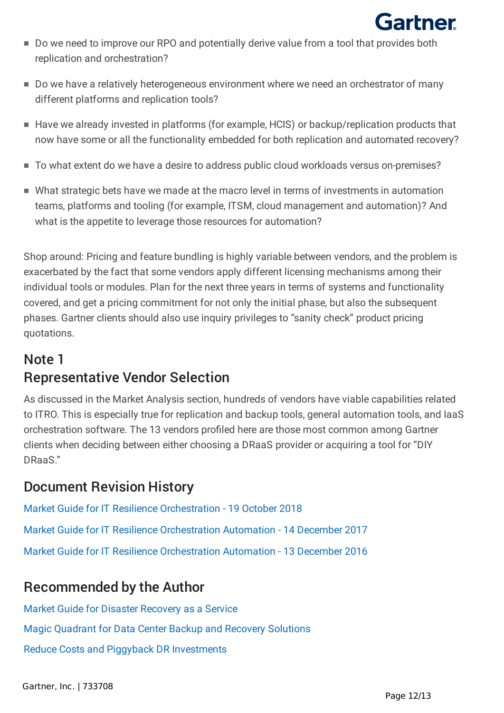

- Do we need to improve our RPO and potentially derive value from a tool that provides both replication and orchestration?
- Do we have a relatively heterogeneous environment where we need an orchestrator of many different platforms and replication tools?
- Have we already invested in platforms (for example, HCIS) or backup/replication products that now have some or all the functionality embedded for both replication and automated recovery?
- To what extent do we have a desire to address public cloud workloads versus on-premises?
- What strategic bets have we made at the macro level in terms of investments in automation teams, platforms and tooling (for example, ITSM, cloud management and automation)? And what is the appetite to leverage those resources for automation?

Shop around: Pricing and feature bundling is highly variable between vendors, and the problem is exacerbated by the fact that some vendors apply different licensing mechanisms among their individual tools or modules. Plan for the next three years in terms of systems and functionality covered, and get a pricing commitment for not only the initial phase, but also the subsequent phases. Gartner clients should also use inquiry privileges to "sanity check" product pricing quotations.

# Note 1 Representative Vendor Selection

As discussed in the Market Analysis section, hundreds of vendors have viable capabilities related to ITRO. This is especially true for replication and backup tools, general automation tools, and IaaS orchestration software. The 13 vendors profiled here are those most common among Gartner clients when deciding between either choosing a DRaaS provider or acquiring a tool for "DIY DRaaS"

# Document Revision History

[Market Guide for IT Resilience Orchestration - 19 October 2018](https://www.gartner.com/document/code/373628?ref=dochist) [Market Guide for IT Resilience Orchestration Automation - 14 December 2017](https://www.gartner.com/document/code/346127?ref=dochist) [Market Guide for IT Resilience Orchestration Automation - 13 December 2016](https://www.gartner.com/document/code/314071?ref=dochist)

## Recommended by the Author

[Market Guide for Disaster Recovery as a Service](https://www.gartner.com/document/3986808?ref=authbottomrec&refval=3991058) [Magic Quadrant for Data Center Backup and Recovery Solutions](https://www.gartner.com/document/3987618?ref=authbottomrec&refval=3991058)

[Reduce Costs and Piggyback DR Investments](https://www.gartner.com/document/3985785?ref=authbottomrec&refval=3991058)